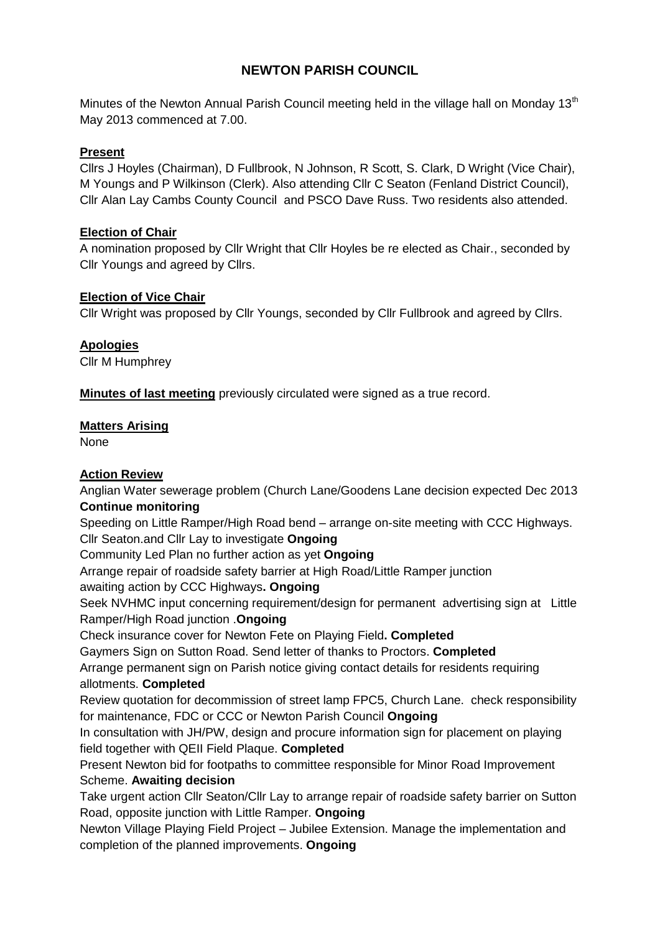## **NEWTON PARISH COUNCIL**

Minutes of the Newton Annual Parish Council meeting held in the village hall on Monday  $13<sup>th</sup>$ May 2013 commenced at 7.00.

### **Present**

Cllrs J Hoyles (Chairman), D Fullbrook, N Johnson, R Scott, S. Clark, D Wright (Vice Chair), M Youngs and P Wilkinson (Clerk). Also attending Cllr C Seaton (Fenland District Council), Cllr Alan Lay Cambs County Council and PSCO Dave Russ. Two residents also attended.

#### **Election of Chair**

A nomination proposed by Cllr Wright that Cllr Hoyles be re elected as Chair., seconded by Cllr Youngs and agreed by Cllrs.

## **Election of Vice Chair**

Cllr Wright was proposed by Cllr Youngs, seconded by Cllr Fullbrook and agreed by Cllrs.

## **Apologies**

Cllr M Humphrey

**Minutes of last meeting** previously circulated were signed as a true record.

## **Matters Arising**

None

## **Action Review**

Anglian Water sewerage problem (Church Lane/Goodens Lane decision expected Dec 2013 **Continue monitoring**

Speeding on Little Ramper/High Road bend – arrange on-site meeting with CCC Highways. Cllr Seaton.and Cllr Lay to investigate **Ongoing**

Community Led Plan no further action as yet **Ongoing**

Arrange repair of roadside safety barrier at High Road/Little Ramper junction

awaiting action by CCC Highways**. Ongoing**

Seek NVHMC input concerning requirement/design for permanent advertising sign at Little Ramper/High Road junction .**Ongoing**

Check insurance cover for Newton Fete on Playing Field**. Completed**

Gaymers Sign on Sutton Road. Send letter of thanks to Proctors. **Completed**

Arrange permanent sign on Parish notice giving contact details for residents requiring allotments. **Completed**

Review quotation for decommission of street lamp FPC5, Church Lane. check responsibility for maintenance, FDC or CCC or Newton Parish Council **Ongoing**

In consultation with JH/PW, design and procure information sign for placement on playing field together with QEII Field Plaque. **Completed**

Present Newton bid for footpaths to committee responsible for Minor Road Improvement Scheme. **Awaiting decision**

Take urgent action Cllr Seaton/Cllr Lay to arrange repair of roadside safety barrier on Sutton Road, opposite junction with Little Ramper. **Ongoing**

Newton Village Playing Field Project – Jubilee Extension. Manage the implementation and completion of the planned improvements. **Ongoing**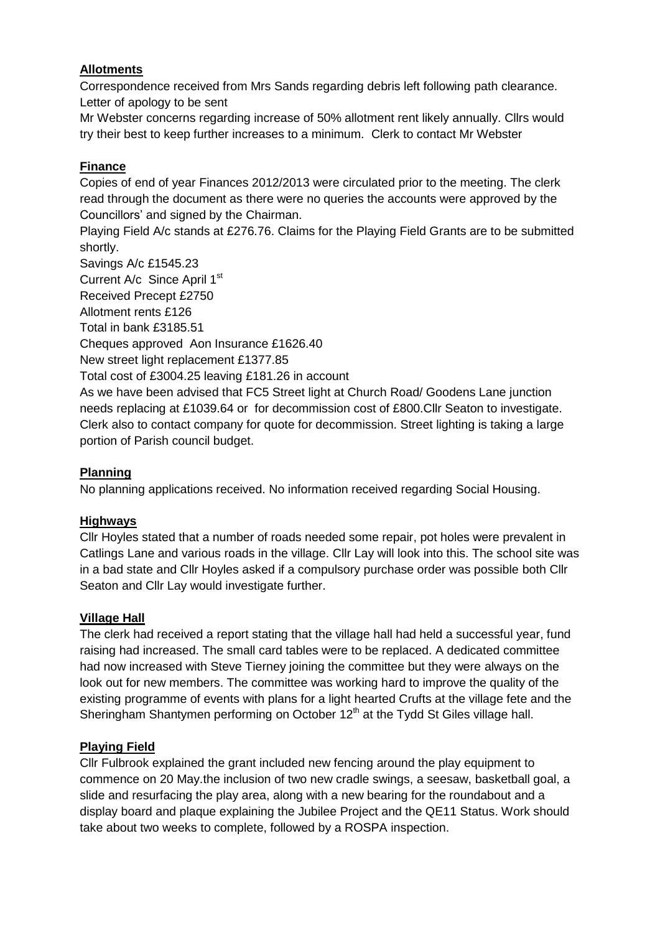## **Allotments**

Correspondence received from Mrs Sands regarding debris left following path clearance. Letter of apology to be sent

Mr Webster concerns regarding increase of 50% allotment rent likely annually. Cllrs would try their best to keep further increases to a minimum. Clerk to contact Mr Webster

### **Finance**

Copies of end of year Finances 2012/2013 were circulated prior to the meeting. The clerk read through the document as there were no queries the accounts were approved by the Councillors' and signed by the Chairman.

Playing Field A/c stands at £276.76. Claims for the Playing Field Grants are to be submitted shortly.

Savings A/c £1545.23

Current A/c Since April 1st

Received Precept £2750

Allotment rents £126

Total in bank £3185.51

Cheques approved Aon Insurance £1626.40

New street light replacement £1377.85

Total cost of £3004.25 leaving £181.26 in account

As we have been advised that FC5 Street light at Church Road/ Goodens Lane junction needs replacing at £1039.64 or for decommission cost of £800.Cllr Seaton to investigate. Clerk also to contact company for quote for decommission. Street lighting is taking a large portion of Parish council budget.

#### **Planning**

No planning applications received. No information received regarding Social Housing.

#### **Highways**

Cllr Hoyles stated that a number of roads needed some repair, pot holes were prevalent in Catlings Lane and various roads in the village. Cllr Lay will look into this. The school site was in a bad state and Cllr Hoyles asked if a compulsory purchase order was possible both Cllr Seaton and Cllr Lay would investigate further.

#### **Village Hall**

The clerk had received a report stating that the village hall had held a successful year, fund raising had increased. The small card tables were to be replaced. A dedicated committee had now increased with Steve Tierney joining the committee but they were always on the look out for new members. The committee was working hard to improve the quality of the existing programme of events with plans for a light hearted Crufts at the village fete and the Sheringham Shantymen performing on October 12<sup>th</sup> at the Tydd St Giles village hall.

#### **Playing Field**

Cllr Fulbrook explained the grant included new fencing around the play equipment to commence on 20 May.the inclusion of two new cradle swings, a seesaw, basketball goal, a slide and resurfacing the play area, along with a new bearing for the roundabout and a display board and plaque explaining the Jubilee Project and the QE11 Status. Work should take about two weeks to complete, followed by a ROSPA inspection.